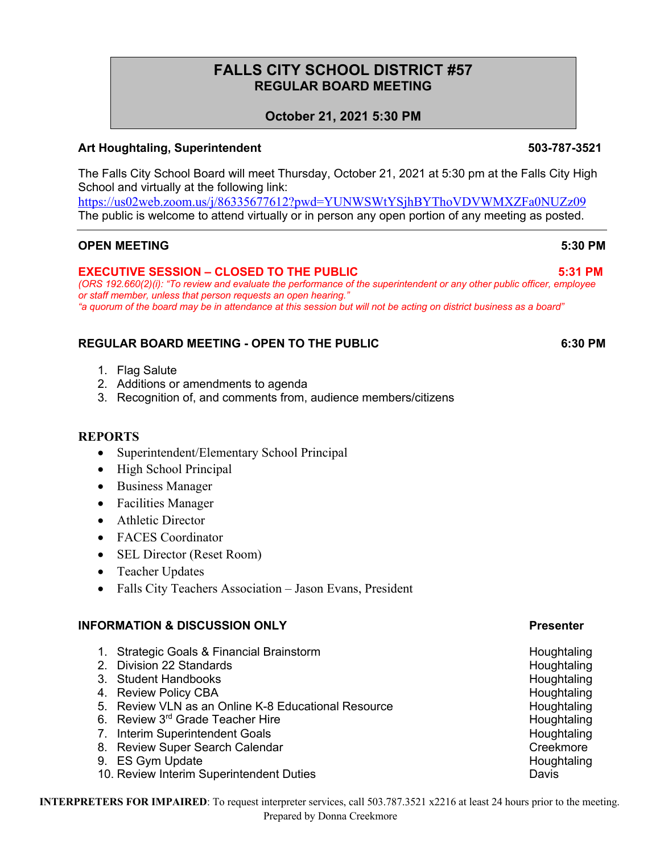# **FALLS CITY SCHOOL DISTRICT #57 REGULAR BOARD MEETING**

# **October 21, 2021 5:30 PM**

## **Art Houghtaling, Superintendent 503-787-3521**

The Falls City School Board will meet Thursday, October 21, 2021 at 5:30 pm at the Falls City High School and virtually at the following link:

https://us02web.zoom.us/j/86335677612?pwd=YUNWSWtYSjhBYThoVDVWMXZFa0NUZz09 The public is welcome to attend virtually or in person any open portion of any meeting as posted.

### **OPEN MEETING 5:30 PM**

### **EXECUTIVE SESSION – CLOSED TO THE PUBLIC 5:31 PM**

*(ORS 192.660(2)(i): "To review and evaluate the performance of the superintendent or any other public officer, employee or staff member, unless that person requests an open hearing." "a quorum of the board may be in attendance at this session but will not be acting on district business as a board"*

## **REGULAR BOARD MEETING - OPEN TO THE PUBLIC 6:30 PM**

- 1. Flag Salute
- 2. Additions or amendments to agenda
- 3. Recognition of, and comments from, audience members/citizens

### **REPORTS**

- Superintendent/Elementary School Principal
- High School Principal
- Business Manager
- Facilities Manager
- Athletic Director
- FACES Coordinator
- SEL Director (Reset Room)
- Teacher Updates
- Falls City Teachers Association Jason Evans, President

### **INFORMATION & DISCUSSION ONLY Presenter**

- 1. Strategic Goals & Financial Brainstorm **Francisch Construction** Houghtaling
- 2. Division 22 Standards **Houghtaling**
- 3. Student Handbooks **Houghtaling** Houghtaling
- 4. Review Policy CBA **Houghtaling**
- 5. Review VLN as an Online K-8 Educational Resource **Houghtaling**
- 6. Review 3<sup>rd</sup> Grade Teacher Hire **Houghtaling Houghtaling**
- 7. Interim Superintendent Goals **Houghtaling Houghtaling**
- 8. Review Super Search Calendar Creekmore
- 9. ES Gym Update **Houghtaling**
- 10. Review Interim Superintendent Duties Davis

**INTERPRETERS FOR IMPAIRED**: To request interpreter services, call 503.787.3521 x2216 at least 24 hours prior to the meeting. Prepared by Donna Creekmore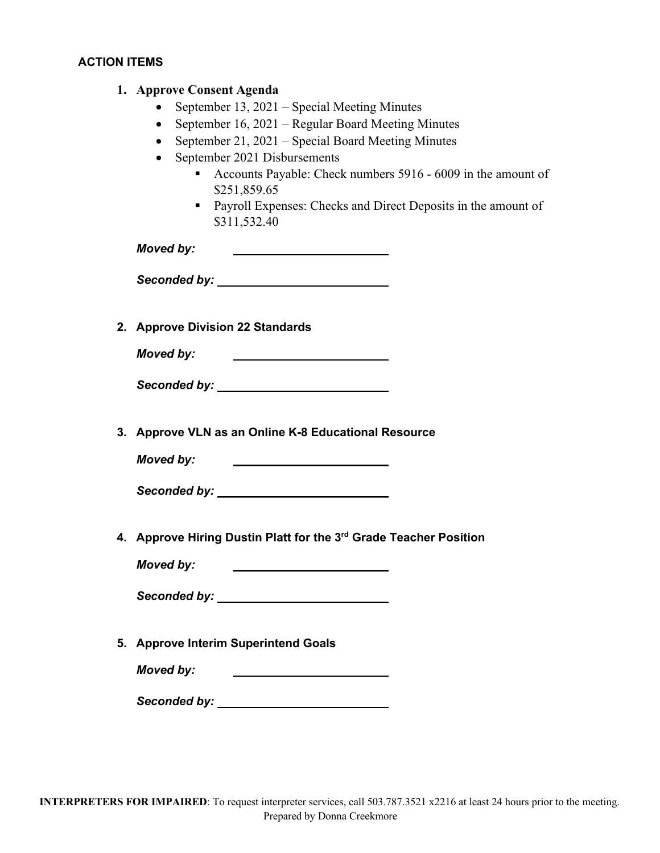# **ACTION ITEMS**

| 1. Approve Consent Agenda<br>September 13, 2021 – Special Meeting Minutes<br>September 16, 2021 – Regular Board Meeting Minutes<br>September 21, 2021 – Special Board Meeting Minutes<br>$\bullet$<br>September 2021 Disbursements<br>Accounts Payable: Check numbers 5916 - 6009 in the amount of<br>٠<br>\$251,859.65<br>• Payroll Expenses: Checks and Direct Deposits in the amount of<br>\$311,532.40 |
|------------------------------------------------------------------------------------------------------------------------------------------------------------------------------------------------------------------------------------------------------------------------------------------------------------------------------------------------------------------------------------------------------------|
| <b>Moved by:</b><br><u> The Communication of the Communication</u>                                                                                                                                                                                                                                                                                                                                         |
| Seconded by: Network and Seconded by:                                                                                                                                                                                                                                                                                                                                                                      |
|                                                                                                                                                                                                                                                                                                                                                                                                            |
| 2. Approve Division 22 Standards                                                                                                                                                                                                                                                                                                                                                                           |
| Moved by:<br><u> 1980 - Johann Stoff, fransk politik (</u>                                                                                                                                                                                                                                                                                                                                                 |
| Seconded by: _____________________________                                                                                                                                                                                                                                                                                                                                                                 |
| 3. Approve VLN as an Online K-8 Educational Resource<br><b>Moved by:</b><br><u> 1989 - Johann Stein, fransk politik (</u>                                                                                                                                                                                                                                                                                  |
|                                                                                                                                                                                                                                                                                                                                                                                                            |
| 4. Approve Hiring Dustin Platt for the 3rd Grade Teacher Position                                                                                                                                                                                                                                                                                                                                          |
| <b>Moved by:</b>                                                                                                                                                                                                                                                                                                                                                                                           |
|                                                                                                                                                                                                                                                                                                                                                                                                            |
| 5. Approve Interim Superintend Goals                                                                                                                                                                                                                                                                                                                                                                       |
| <b>Moved by:</b><br><u> 1980 - Johann Barbara, martin a</u>                                                                                                                                                                                                                                                                                                                                                |
|                                                                                                                                                                                                                                                                                                                                                                                                            |
|                                                                                                                                                                                                                                                                                                                                                                                                            |